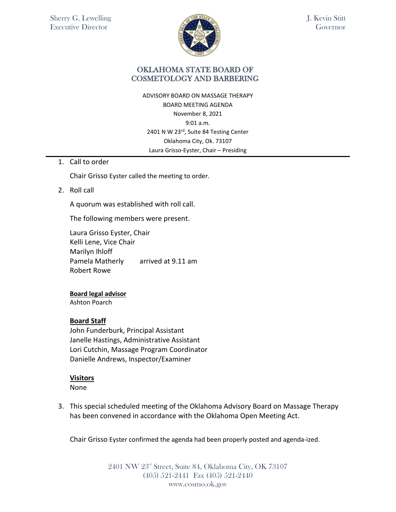

J. Kevin Stitt Governor

## OKLAHOMA STATE BOARD OF COSMETOLOGY AND BARBERING

ADVISORY BOARD ON MASSAGE THERAPY BOARD MEETING AGENDA November 8, 2021 9:01 a.m. 2401 N W 23rd, Suite 84 Testing Center Oklahoma City, Ok. 73107 Laura Grisso-Eyster, Chair – Presiding

1. Call to order

Chair Grisso Eyster called the meeting to order.

2. Roll call

A quorum was established with roll call.

The following members were present.

Laura Grisso Eyster, Chair Kelli Lene, Vice Chair Marilyn Ihloff Pamela Matherly arrived at 9.11 am Robert Rowe

#### **Board legal advisor**

Ashton Poarch

### **Board Staff**

John Funderburk, Principal Assistant Janelle Hastings, Administrative Assistant Lori Cutchin, Massage Program Coordinator Danielle Andrews, Inspector/Examiner

### **Visitors**

None

3. This special scheduled meeting of the Oklahoma Advisory Board on Massage Therapy has been convened in accordance with the Oklahoma Open Meeting Act.

Chair Grisso Eyster confirmed the agenda had been properly posted and agenda-ized.

2401 NW 23<sup>rd</sup> Street, Suite 84, Oklahoma City, OK 73107 (405) 521-2441 Fax (405) 521-2440 www.cosmo.ok.gov